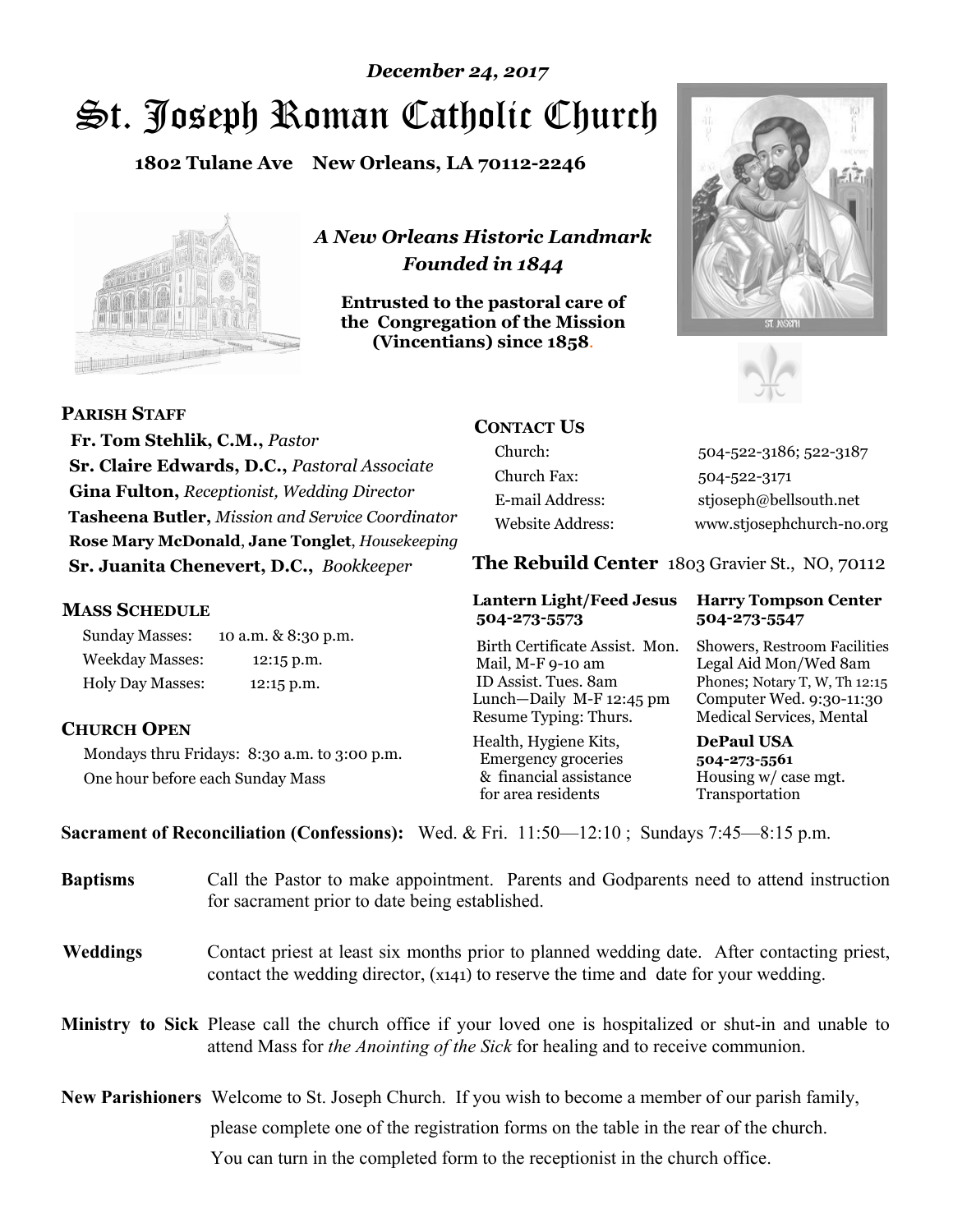# St. Joseph Roman Catholic Church *December 24, 2017*

**1802 Tulane Ave New Orleans, LA 70112-2246**



*A New Orleans Historic Landmark Founded in 1844* 

**Entrusted to the pastoral care of the Congregation of the Mission (Vincentians) since 1858**.





 **Fr. Tom Stehlik, C.M.,** *Pastor* **Sr. Claire Edwards, D.C.,** *Pastoral Associate* 

**Gina Fulton,** *Receptionist, Wedding Director* **Tasheena Butler,** *Mission and Service Coordinator* **Rose Mary McDonald**, **Jane Tonglet**, *Housekeeping* **Sr. Juanita Chenevert, D.C.,** *Bookkeeper* 

#### **MASS SCHEDULE**

**PARISH STAFF**

Sunday Masses: 10 a.m. & 8:30 p.m. Weekday Masses: 12:15 p.m. Holy Day Masses: 12:15 p.m.

### **CHURCH OPEN**

Mondays thru Fridays: 8:30 a.m. to 3:00 p.m. One hour before each Sunday Mass

# **CONTACT US**

Church: 504-522-3186; 522-3187 Church Fax: 504-522-3171 E-mail Address: stjoseph@bellsouth.net Website Address: www.stjosephchurch-no.org

**The Rebuild Center** 1803 Gravier St., NO, 70112

#### **Lantern Light/Feed Jesus Harry Tompson Center 504-273-5573 504-273-5547**

Birth Certificate Assist. Mon. Showers, Restroom Facilities Mail, M-F 9-10 am Legal Aid Mon/Wed 8am ID Assist. Tues. 8am Phones; Notary T, W, Th 12:15 Lunch—Daily M-F 12:45 pm Computer Wed. 9:30-11:30 Resume Typing: Thurs. Medical Services, Mental

Health, Hygiene Kits, **DePaul USA**  Emergency groceries **504-273-5561** & financial assistance Housing w/ case mgt.<br>for area residents Transportation for area residents

**Sacrament of Reconciliation (Confessions):** Wed. & Fri. 11:50—12:10 ; Sundays 7:45—8:15 p.m.

| <b>Baptisms</b> | Call the Pastor to make appointment. Parents and Godparents need to attend instruction<br>for sacrament prior to date being established.                                                            |  |
|-----------------|-----------------------------------------------------------------------------------------------------------------------------------------------------------------------------------------------------|--|
| <b>Weddings</b> | Contact priest at least six months prior to planned wedding date. After contacting priest,<br>contact the wedding director, (x141) to reserve the time and date for your wedding.                   |  |
|                 | <b>Ministry to Sick</b> Please call the church office if your loved one is hospitalized or shut-in and unable to<br>attend Mass for the Anointing of the Sick for healing and to receive communion. |  |
|                 | New Parishioners Welcome to St. Joseph Church. If you wish to become a member of our parish family,                                                                                                 |  |
|                 | please complete one of the registration forms on the table in the rear of the church.                                                                                                               |  |
|                 | You can turn in the completed form to the reception is the church office.                                                                                                                           |  |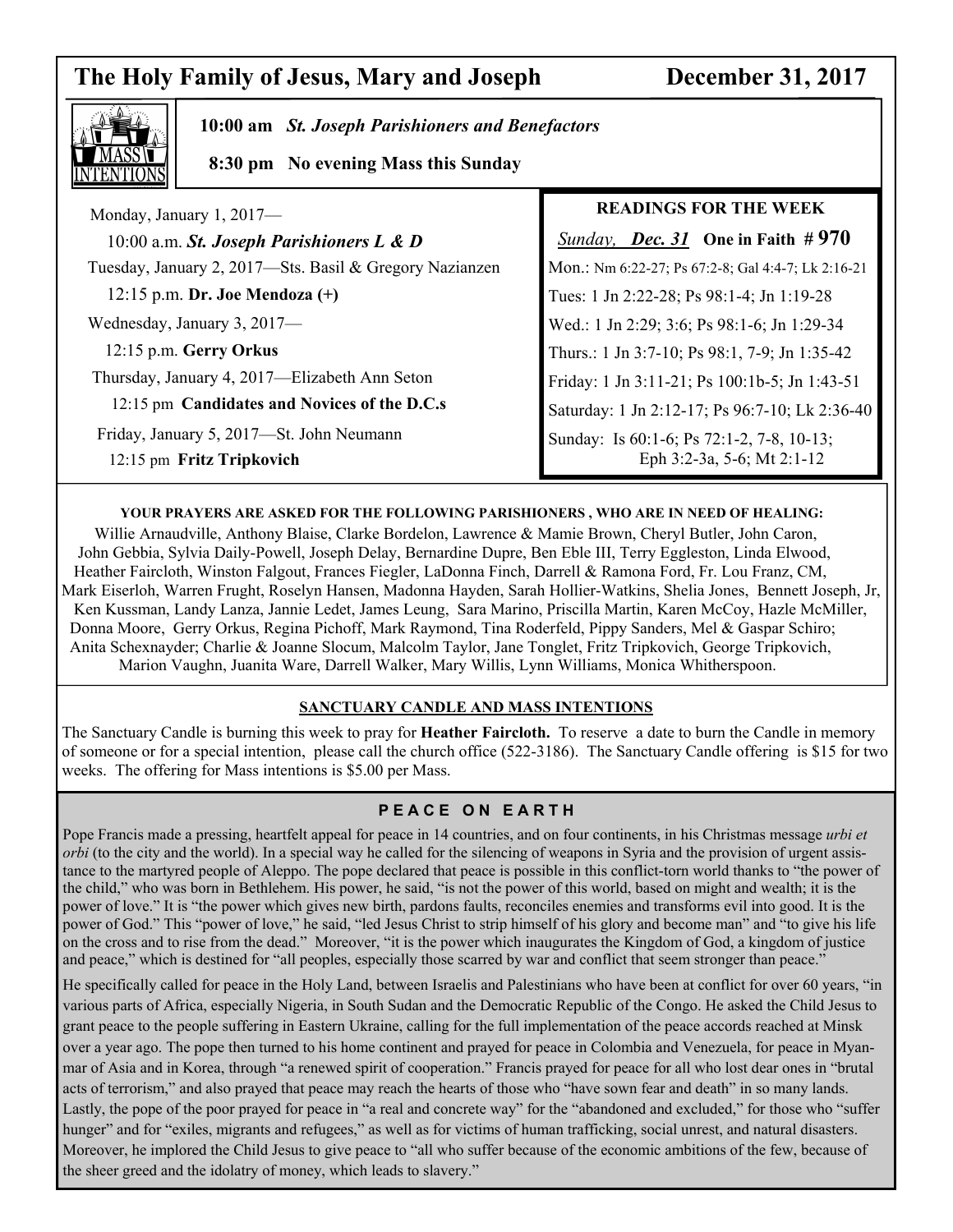# **The Holy Family of Jesus, Mary and Joseph December 31, 2017**



 $\overline{\phantom{a}}$ 

 **10:00 am** *St. Joseph Parishioners and Benefactors*

 **8:30 pm No evening Mass this Sunday**

| Monday, January 1, 2017-                                              | <b>READINGS FOR THE WEEK</b>                                            |
|-----------------------------------------------------------------------|-------------------------------------------------------------------------|
| 10:00 a.m. St. Joseph Parishioners $L \& D$                           | <i>Sunday, Dec. 31</i> One in Faith $#970$                              |
| Tuesday, January 2, 2017—Sts. Basil & Gregory Nazianzen               | Mon.: Nm 6:22-27; Ps 67:2-8; Gal 4:4-7; Lk 2:16-21                      |
| $12:15$ p.m. Dr. Joe Mendoza $(+)$                                    | Tues: 1 Jn 2:22-28; Ps 98:1-4; Jn 1:19-28                               |
| Wednesday, January 3, 2017—                                           | Wed.: 1 Jn 2:29; 3:6; Ps 98:1-6; Jn 1:29-34                             |
| 12:15 p.m. Gerry Orkus                                                | Thurs.: 1 Jn 3:7-10; Ps 98:1, 7-9; Jn 1:35-42                           |
| Thursday, January 4, 2017—Elizabeth Ann Seton                         | Friday: 1 Jn 3:11-21; Ps 100:1b-5; Jn 1:43-51                           |
| 12:15 pm Candidates and Novices of the D.C.s                          | Saturday: 1 Jn 2:12-17; Ps 96:7-10; Lk 2:36-40                          |
| Friday, January 5, 2017—St. John Neumann<br>12:15 pm Fritz Tripkovich | Sunday: Is 60:1-6; Ps 72:1-2, 7-8, 10-13;<br>Eph 3:2-3a, 5-6; Mt 2:1-12 |

#### **YOUR PRAYERS ARE ASKED FOR THE FOLLOWING PARISHIONERS , WHO ARE IN NEED OF HEALING:**

Willie Arnaudville, Anthony Blaise, Clarke Bordelon, Lawrence & Mamie Brown, Cheryl Butler, John Caron, John Gebbia, Sylvia Daily-Powell, Joseph Delay, Bernardine Dupre, Ben Eble III, Terry Eggleston, Linda Elwood, Heather Faircloth, Winston Falgout, Frances Fiegler, LaDonna Finch, Darrell & Ramona Ford, Fr. Lou Franz, CM, Mark Eiserloh, Warren Frught, Roselyn Hansen, Madonna Hayden, Sarah Hollier-Watkins, Shelia Jones, Bennett Joseph, Jr, Ken Kussman, Landy Lanza, Jannie Ledet, James Leung, Sara Marino, Priscilla Martin, Karen McCoy, Hazle McMiller, Donna Moore, Gerry Orkus, Regina Pichoff, Mark Raymond, Tina Roderfeld, Pippy Sanders, Mel & Gaspar Schiro; Anita Schexnayder; Charlie & Joanne Slocum, Malcolm Taylor, Jane Tonglet, Fritz Tripkovich, George Tripkovich, Marion Vaughn, Juanita Ware, Darrell Walker, Mary Willis, Lynn Williams, Monica Whitherspoon.

#### **SANCTUARY CANDLE AND MASS INTENTIONS**

The Sanctuary Candle is burning this week to pray for **Heather Faircloth.** To reserve a date to burn the Candle in memory of someone or for a special intention, please call the church office (522-3186). The Sanctuary Candle offering is \$15 for two weeks. The offering for Mass intentions is \$5.00 per Mass.

### **P E A C E O N E A R T H**

Pope Francis made a pressing, heartfelt appeal for peace in 14 countries, and on four continents, in his Christmas message *urbi et orbi* (to the city and the world). In a special way he called for the silencing of weapons in Syria and the provision of urgent assistance to the martyred people of Aleppo. The pope declared that peace is possible in this conflict-torn world thanks to "the power of the child," who was born in Bethlehem. His power, he said, "is not the power of this world, based on might and wealth; it is the power of love." It is "the power which gives new birth, pardons faults, reconciles enemies and transforms evil into good. It is the power of God." This "power of love," he said, "led Jesus Christ to strip himself of his glory and become man" and "to give his life on the cross and to rise from the dead." Moreover, "it is the power which inaugurates the Kingdom of God, a kingdom of justice and peace," which is destined for "all peoples, especially those scarred by war and conflict that seem stronger than peace."

He specifically called for peace in the Holy Land, between Israelis and Palestinians who have been at conflict for over 60 years, "in various parts of Africa, especially Nigeria, in South Sudan and the Democratic Republic of the Congo. He asked the Child Jesus to grant peace to the people suffering in Eastern Ukraine, calling for the full implementation of the peace accords reached at Minsk over a year ago. The pope then turned to his home continent and prayed for peace in Colombia and Venezuela, for peace in Myanmar of Asia and in Korea, through "a renewed spirit of cooperation." Francis prayed for peace for all who lost dear ones in "brutal acts of terrorism," and also prayed that peace may reach the hearts of those who "have sown fear and death" in so many lands. Lastly, the pope of the poor prayed for peace in "a real and concrete way" for the "abandoned and excluded," for those who "suffer hunger" and for "exiles, migrants and refugees," as well as for victims of human trafficking, social unrest, and natural disasters. Moreover, he implored the Child Jesus to give peace to "all who suffer because of the economic ambitions of the few, because of the sheer greed and the idolatry of money, which leads to slavery."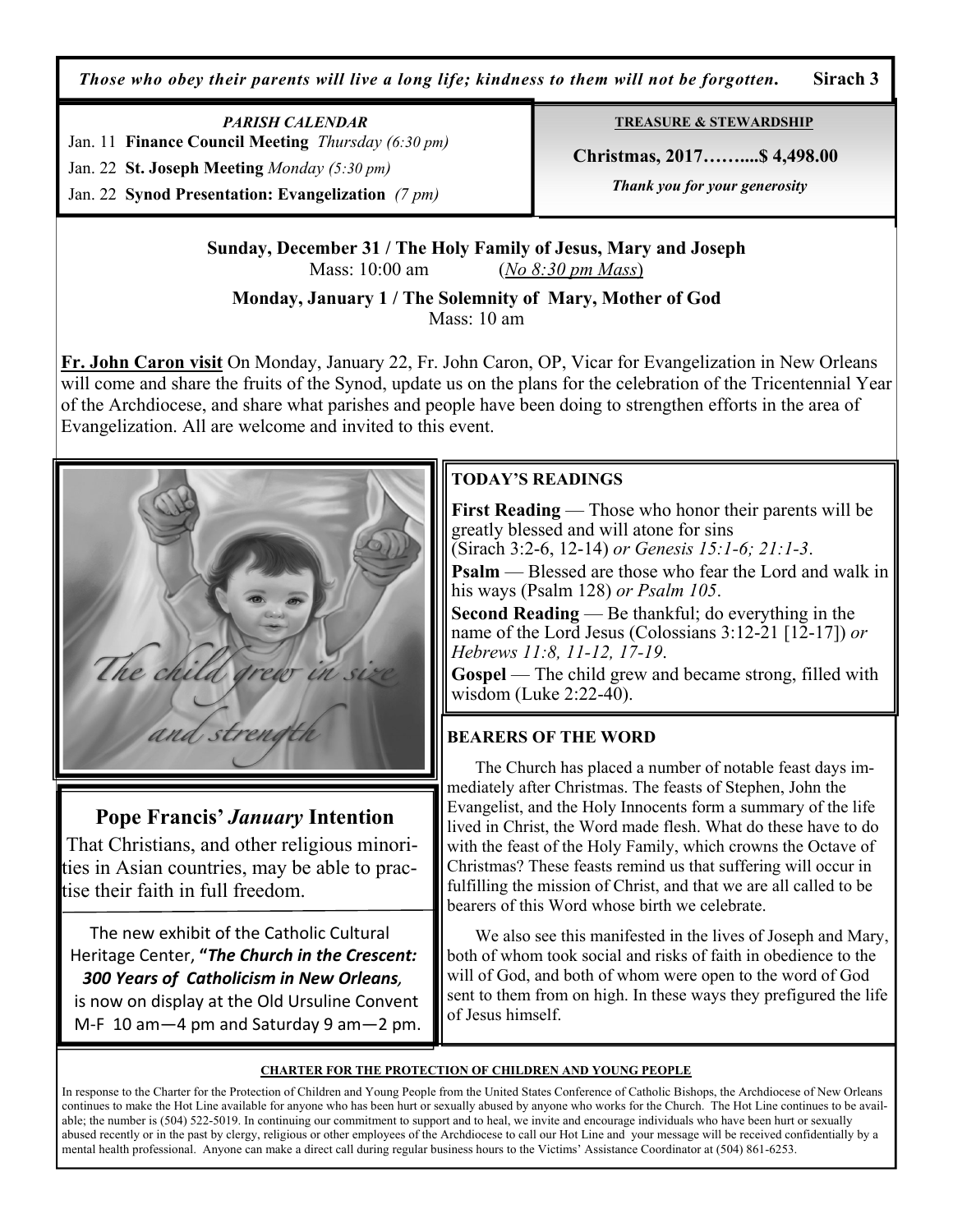*Those who obey their parents will live a long life; kindness to them will not be forgotten.* **Sirach 3**

*PARISH CALENDAR*  Jan. 11 **Finance Council Meeting** *Thursday (6:30 pm)* 

Jan. 22 **St. Joseph Meeting** *Monday (5:30 pm)* 

Jan. 22 **Synod Presentation: Evangelization** *(7 pm)*

**TREASURE & STEWARDSHIP**

 **Christmas, 2017……....\$ 4,498.00** 

 *Thank you for your generosity* 

**Sunday, December 31 / The Holy Family of Jesus, Mary and Joseph** Mass: 10:00 am (*No 8:30 pm Mass*)

**Monday, January 1 / The Solemnity of Mary, Mother of God** 

Mass: 10 am

**Fr. John Caron visit** On Monday, January 22, Fr. John Caron, OP, Vicar for Evangelization in New Orleans will come and share the fruits of the Synod, update us on the plans for the celebration of the Tricentennial Year of the Archdiocese, and share what parishes and people have been doing to strengthen efforts in the area of Evangelization. All are welcome and invited to this event.



# **Pope Francis'** *January* **Intention**

That Christians, and other religious minorities in Asian countries, may be able to practise their faith in full freedom.

 The new exhibit of the Catholic Cultural Heritage Center, **"***The Church in the Crescent: 300 Years of Catholicism in New Orleans,* 

is now on display at the Old Ursuline Convent M-F 10 am—4 pm and Saturday 9 am—2 pm.

# **TODAY'S READINGS**

**First Reading** — Those who honor their parents will be greatly blessed and will atone for sins

(Sirach 3:2-6, 12-14) *or Genesis 15:1-6; 21:1-3*.

**Psalm** — Blessed are those who fear the Lord and walk in his ways (Psalm 128) *or Psalm 105*.

**Second Reading** — Be thankful; do everything in the name of the Lord Jesus (Colossians 3:12-21 [12-17]) *or Hebrews 11:8, 11-12, 17-19*.

**Gospel** — The child grew and became strong, filled with wisdom (Luke 2:22-40).

## **BEARERS OF THE WORD**

 The Church has placed a number of notable feast days immediately after Christmas. The feasts of Stephen, John the Evangelist, and the Holy Innocents form a summary of the life lived in Christ, the Word made flesh. What do these have to do with the feast of the Holy Family, which crowns the Octave of Christmas? These feasts remind us that suffering will occur in fulfilling the mission of Christ, and that we are all called to be bearers of this Word whose birth we celebrate.

 We also see this manifested in the lives of Joseph and Mary, both of whom took social and risks of faith in obedience to the will of God, and both of whom were open to the word of God sent to them from on high. In these ways they prefigured the life of Jesus himself.

#### **CHARTER FOR THE PROTECTION OF CHILDREN AND YOUNG PEOPLE**

In response to the Charter for the Protection of Children and Young People from the United States Conference of Catholic Bishops, the Archdiocese of New Orleans continues to make the Hot Line available for anyone who has been hurt or sexually abused by anyone who works for the Church. The Hot Line continues to be available; the number is (504) 522-5019. In continuing our commitment to support and to heal, we invite and encourage individuals who have been hurt or sexually abused recently or in the past by clergy, religious or other employees of the Archdiocese to call our Hot Line and your message will be received confidentially by a mental health professional. Anyone can make a direct call during regular business hours to the Victims' Assistance Coordinator at (504) 861-6253.